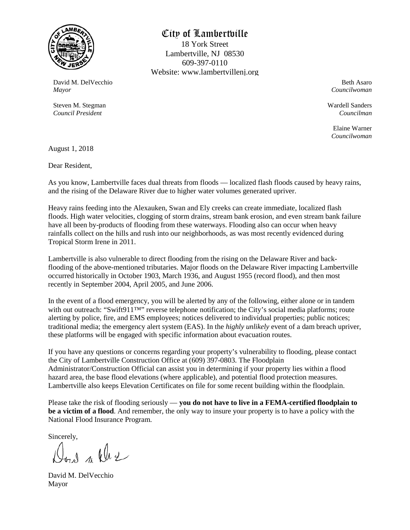

### City of Lambertville

18 York Street Lambertville, NJ 08530 609-397-0110 Website: www.lambertvillenj.org

David M. DelVecchio *Mayor*

Steven M. Stegman *Council President*

Beth Asaro *Councilwoman*

Wardell Sanders *Councilman*

Elaine Warner *Councilwoman*

August 1, 2018

Dear Resident,

As you know, Lambertville faces dual threats from floods — localized flash floods caused by heavy rains, and the rising of the Delaware River due to higher water volumes generated upriver.

Heavy rains feeding into the Alexauken, Swan and Ely creeks can create immediate, localized flash floods. High water velocities, clogging of storm drains, stream bank erosion, and even stream bank failure have all been by-products of flooding from these waterways. Flooding also can occur when heavy rainfalls collect on the hills and rush into our neighborhoods, as was most recently evidenced during Tropical Storm Irene in 2011.

Lambertville is also vulnerable to direct flooding from the rising on the Delaware River and backflooding of the above-mentioned tributaries. Major floods on the Delaware River impacting Lambertville occurred historically in October 1903, March 1936, and August 1955 (record flood), and then most recently in September 2004, April 2005, and June 2006.

In the event of a flood emergency, you will be alerted by any of the following, either alone or in tandem with out outreach: "Swift911™" reverse telephone notification; the City's social media platforms; route alerting by police, fire, and EMS employees; notices delivered to individual properties; public notices; traditional media; the emergency alert system (EAS). In the *highly unlikely* event of a dam breach upriver, these platforms will be engaged with specific information about evacuation routes.

If you have any questions or concerns regarding your property's vulnerability to flooding, please contact the City of Lambertville Construction Office at (609) 397-0803. The Floodplain Administrator/Construction Official can assist you in determining if your property lies within a flood hazard area, the base flood elevations (where applicable), and potential flood protection measures. Lambertville also keeps Elevation Certificates on file for some recent building within the floodplain.

Please take the risk of flooding seriously — **you do not have to live in a FEMA-certified floodplain to be a victim of a flood**. And remember, the only way to insure your property is to have a policy with the National Flood Insurance Program.

Sincerely,

Don't we

David M. DelVecchio Mayor